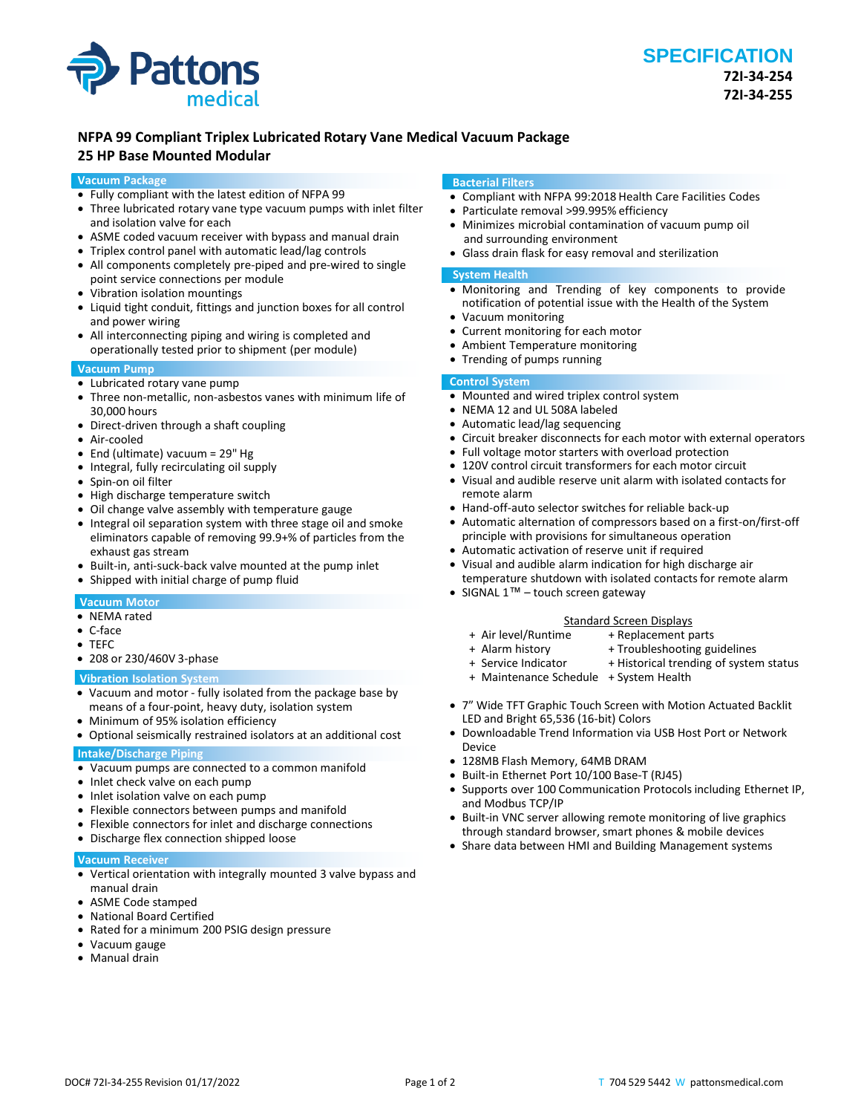

# **NFPA 99 Compliant Triplex Lubricated Rotary Vane Medical Vacuum Package**

# **25 HP Base Mounted Modular**

#### **Vacuum Package**

- Fully compliant with the latest edition of NFPA 99
- Three lubricated rotary vane type vacuum pumps with inlet filter and isolation valve for each
- ASME coded vacuum receiver with bypass and manual drain
- Triplex control panel with automatic lead/lag controls
- All components completely pre-piped and pre-wired to single point service connections per module
- Vibration isolation mountings
- Liquid tight conduit, fittings and junction boxes for all control and power wiring
- All interconnecting piping and wiring is completed and operationally tested prior to shipment (per module)

### **Vacuum Pump**

- Lubricated rotary vane pump
- Three non-metallic, non-asbestos vanes with minimum life of 30,000 hours
- Direct-driven through a shaft coupling
- Air-cooled
- End (ultimate) vacuum = 29" Hg
- Integral, fully recirculating oil supply
- Spin-on oil filter
- High discharge temperature switch
- Oil change valve assembly with temperature gauge
- Integral oil separation system with three stage oil and smoke eliminators capable of removing 99.9+% of particles from the exhaust gas stream
- Built-in, anti-suck-back valve mounted at the pump inlet
- Shipped with initial charge of pump fluid

# **Vacuum Motor**

- NEMA rated
- C-face
- TEFC
- 208 or 230/460V 3-phase

#### **Vibration Isolation System**

- Vacuum and motor fully isolated from the package base by means of a four-point, heavy duty, isolation system
- Minimum of 95% isolation efficiency
- Optional seismically restrained isolators at an additional cost

# **Intake/Discharge Piping**

- Vacuum pumps are connected to a common manifold
- Inlet check valve on each pump
- Inlet isolation valve on each pump
- Flexible connectors between pumps and manifold
- Flexible connectors for inlet and discharge connections
- Discharge flex connection shipped loose

#### **Vacuum Receiver**

- Vertical orientation with integrally mounted 3 valve bypass and manual drain
- ASME Code stamped
- National Board Certified
- Rated for a minimum 200 PSIG design pressure
- Vacuum gauge
- Manual drain

#### **Bacterial Filters**

- Compliant with NFPA 99:2018 Health Care Facilities Codes
- Particulate removal >99.995% efficiency
- Minimizes microbial contamination of vacuum pump oil and surrounding environment
- Glass drain flask for easy removal and sterilization

#### **System Health**

- Monitoring and Trending of key components to provide notification of potential issue with the Health of the System
- Vacuum monitoring
- Current monitoring for each motor
- Ambient Temperature monitoring
- Trending of pumps running

# **Control System**

- Mounted and wired triplex control system
- NEMA 12 and UL 508A labeled
- Automatic lead/lag sequencing
- Circuit breaker disconnects for each motor with external operators
- Full voltage motor starters with overload protection
- 120V control circuit transformers for each motor circuit
- Visual and audible reserve unit alarm with isolated contacts for remote alarm
- Hand-off-auto selector switches for reliable back-up
- Automatic alternation of compressors based on a first-on/first-off principle with provisions for simultaneous operation
- Automatic activation of reserve unit if required
- Visual and audible alarm indication for high discharge air temperature shutdown with isolated contacts for remote alarm
- SIGNAL 1<sup>™</sup> touch screen gateway

# Standard Screen Displays<br>Air level/Runtime + Replacement p

- 
- + Replacement parts
	-
- + Alarm history + Troubleshooting guidelines<br>+ Service Indicator + Historical trending of syster + Historical trending of system status
- + Maintenance Schedule + System Health
- 7" Wide TFT Graphic Touch Screen with Motion Actuated Backlit LED and Bright 65,536 (16-bit) Colors
- Downloadable Trend Information via USB Host Port or Network Device
- 128MB Flash Memory, 64MB DRAM
- Built-in Ethernet Port 10/100 Base-T (RJ45)
- Supports over 100 Communication Protocols including Ethernet IP, and Modbus TCP/IP
- Built-in VNC server allowing remote monitoring of live graphics through standard browser, smart phones & mobile devices
- Share data between HMI and Building Management systems